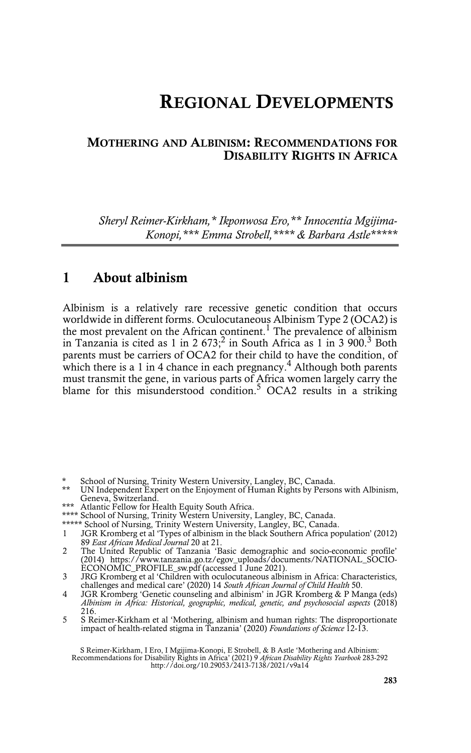# **REGIONAL DEVELOPMENTS**

#### **MOTHERING AND ALBINISM: RECOMMENDATIONS FOR DISABILITY RIGHTS IN AFRICA**

*Sheryl Reimer-Kirkham,\* Ikponwosa Ero,\*\* Innocentia Mgijima-Konopi,\*\*\* Emma Strobell,\*\*\*\* & Barbara Astle\*\*\*\*\**

## **1 About albinism**

Albinism is a relatively rare recessive genetic condition that occurs worldwide in different forms. Oculocutaneous Albinism Type 2 (OCA2) is the most prevalent on the African continent.<sup>1</sup> The prevalence of albinism in Tanzania is cited as 1 in 2 673;<sup>2</sup> in South Africa as 1 in 3 900.<sup>3</sup> Both parents must be carriers of OCA2 for their child to have the condition, of which there is a 1 in 4 chance in each pregnancy. $4$  Although both parents must transmit the gene, in various parts of Africa women largely carry the blame for this misunderstood condition.<sup>5</sup> OCA2 results in a striking

- \* School of Nursing, Trinity Western University, Langley, BC, Canada.
- UN Independent Expert on the Enjoyment of Human Rights by Persons with Albinism, Geneva, Switzerland.
- \*\*\* Atlantic Fellow for Health Equity South Africa.
- \*\*\*\* School of Nursing, Trinity Western University, Langley, BC, Canada.
- \*\*\*\*\* School of Nursing, Trinity Western University, Langley, BC, Canada.
- 1 JGR Kromberg et al 'Types of albinism in the black Southern Africa population' (2012) 89 *East African Medical Journal* 20 at 21.
- 2 The United Republic of Tanzania 'Basic demographic and socio-economic profile' (2014) https://www.tanzania.go.tz/egov\_uploads/documents/NATIONAL\_SOCIO-ECONOMIC\_PROFILE\_sw.pdf (accessed 1 June 2021).
- 3 JRG Kromberg et al 'Children with oculocutaneous albinism in Africa: Characteristics, challenges and medical care' (2020) 14 *South African Journal of Child Health* 50.
- 4 JGR Kromberg 'Genetic counseling and albinism' in JGR Kromberg & P Manga (eds) *Albinism in Africa: Historical, geographic, medical, genetic, and psychosocial aspects* (2018) 216.
- 5 S Reimer-Kirkham et al 'Mothering, albinism and human rights: The disproportionate impact of health-related stigma in Tanzania' (2020) *Foundations of Science* 12-13.

S Reimer-Kirkham, I Ero, I Mgijima-Konopi, E Strobell, & B Astle 'Mothering and Albinism: Recommendations for Disability Rights in Africa' (2021) 9 *African Disability Rights Yearbook* 283-292 http://doi.org/10.29053/2413-7138/2021/v9a14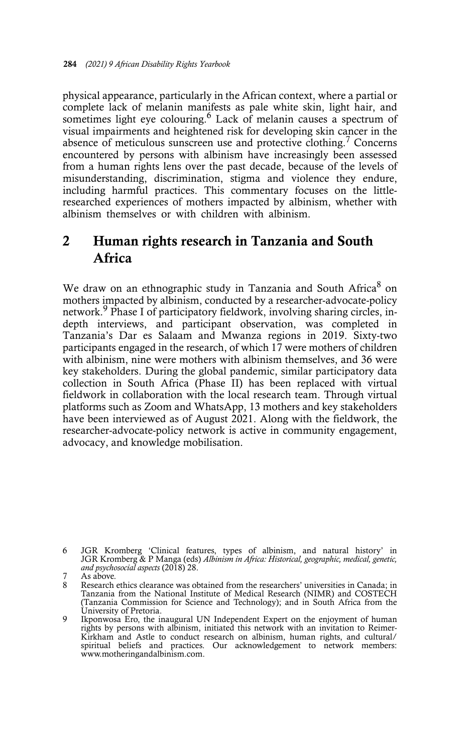physical appearance, particularly in the African context, where a partial or complete lack of melanin manifests as pale white skin, light hair, and sometimes light eye colouring.<sup>6</sup> Lack of melanin causes a spectrum of visual impairments and heightened risk for developing skin cancer in the absence of meticulous sunscreen use and protective clothing.<sup>7</sup> Concerns encountered by persons with albinism have increasingly been assessed from a human rights lens over the past decade, because of the levels of misunderstanding, discrimination, stigma and violence they endure, including harmful practices. This commentary focuses on the littleresearched experiences of mothers impacted by albinism, whether with albinism themselves or with children with albinism.

## **2 Human rights research in Tanzania and South Africa**

We draw on an ethnographic study in Tanzania and South Africa<sup>8</sup> on mothers impacted by albinism, conducted by a researcher-advocate-policy network.<sup>9</sup> Phase I of participatory fieldwork, involving sharing circles, indepth interviews, and participant observation, was completed in Tanzania's Dar es Salaam and Mwanza regions in 2019. Sixty-two participants engaged in the research, of which 17 were mothers of children with albinism, nine were mothers with albinism themselves, and 36 were key stakeholders. During the global pandemic, similar participatory data collection in South Africa (Phase II) has been replaced with virtual fieldwork in collaboration with the local research team. Through virtual platforms such as Zoom and WhatsApp, 13 mothers and key stakeholders have been interviewed as of August 2021. Along with the fieldwork, the researcher-advocate-policy network is active in community engagement, advocacy, and knowledge mobilisation.

<sup>6</sup> JGR Kromberg 'Clinical features, types of albinism, and natural history' in JGR Kromberg & P Manga (eds) *Albinism in Africa: Historical, geographic, medical, genetic, and psychosocial aspects* (2018) 28.

As above.

<sup>8</sup> Research ethics clearance was obtained from the researchers' universities in Canada; in Tanzania from the National Institute of Medical Research (NIMR) and COSTECH (Tanzania Commission for Science and Technology); and in South Africa from the University of Pretoria.

<sup>9</sup> Ikponwosa Ero, the inaugural UN Independent Expert on the enjoyment of human rights by persons with albinism, initiated this network with an invitation to Reimer-Kirkham and Astle to conduct research on albinism, human rights, and cultural/ spiritual beliefs and practices. Our acknowledgement to network members: www.motheringandalbinism.com.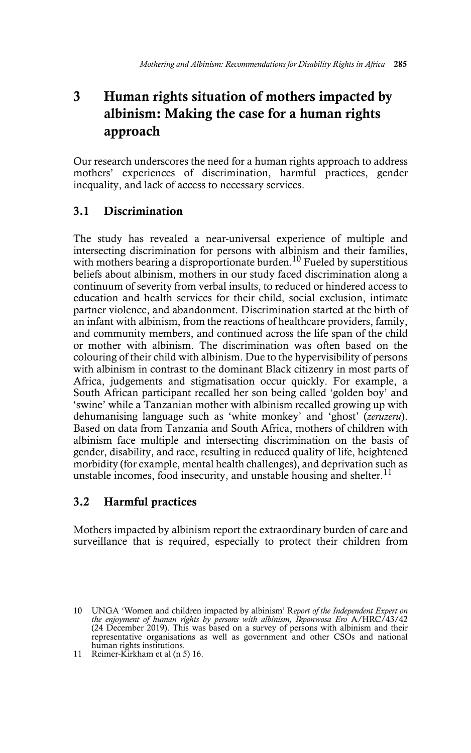## **3 Human rights situation of mothers impacted by albinism: Making the case for a human rights approach**

Our research underscores the need for a human rights approach to address mothers' experiences of discrimination, harmful practices, gender inequality, and lack of access to necessary services.

## **3.1 Discrimination**

The study has revealed a near-universal experience of multiple and intersecting discrimination for persons with albinism and their families, with mothers bearing a disproportionate burden.<sup>10</sup> Fueled by superstitious beliefs about albinism, mothers in our study faced discrimination along a continuum of severity from verbal insults, to reduced or hindered access to education and health services for their child, social exclusion, intimate partner violence, and abandonment. Discrimination started at the birth of an infant with albinism, from the reactions of healthcare providers, family, and community members, and continued across the life span of the child or mother with albinism. The discrimination was often based on the colouring of their child with albinism. Due to the hypervisibility of persons with albinism in contrast to the dominant Black citizenry in most parts of Africa, judgements and stigmatisation occur quickly. For example, a South African participant recalled her son being called 'golden boy' and 'swine' while a Tanzanian mother with albinism recalled growing up with dehumanising language such as 'white monkey' and 'ghost' (*zeruzeru*). Based on data from Tanzania and South Africa, mothers of children with albinism face multiple and intersecting discrimination on the basis of gender, disability, and race, resulting in reduced quality of life, heightened morbidity (for example, mental health challenges), and deprivation such as unstable incomes, food insecurity, and unstable housing and shelter.<sup>11</sup>

### **3.2 Harmful practices**

Mothers impacted by albinism report the extraordinary burden of care and surveillance that is required, especially to protect their children from

<sup>10</sup> UNGA 'Women and children impacted by albinism' R*eport of the Independent Expert on the enjoyment of human rights by persons with albinism, Ikponwosa Ero* A/HRC/43/42 (24 December 2019). This was based on a survey of persons with albinism and their representative organisations as well as government and other CSOs and national human rights institutions.

<sup>11</sup> Reimer-Kirkham et al (n 5) 16.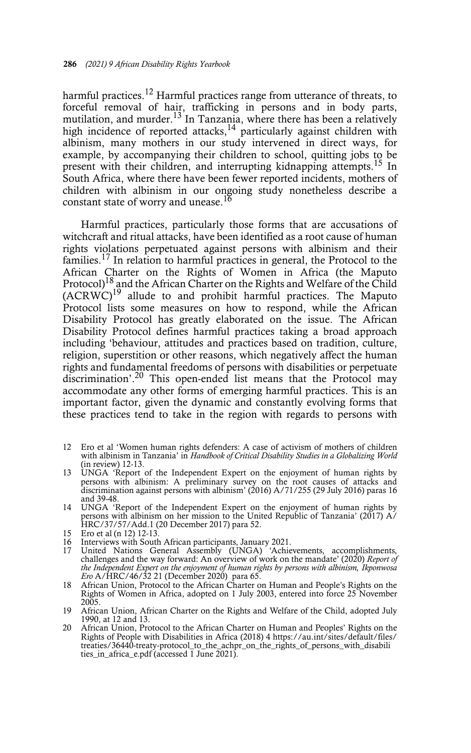harmful practices.<sup>12</sup> Harmful practices range from utterance of threats, to forceful removal of hair, trafficking in persons and in body parts, mutilation, and murder.<sup>13</sup> In Tanzania, where there has been a relatively high incidence of reported attacks,<sup>14</sup> particularly against children with albinism, many mothers in our study intervened in direct ways, for example, by accompanying their children to school, quitting jobs to be present with their children, and interrupting kidnapping attempts.<sup>15</sup> In South Africa, where there have been fewer reported incidents, mothers of children with albinism in our ongoing study nonetheless describe a constant state of worry and unease.<sup>16</sup>

Harmful practices, particularly those forms that are accusations of witchcraft and ritual attacks, have been identified as a root cause of human rights violations perpetuated against persons with albinism and their families.<sup>17</sup> In relation to harmful practices in general, the Protocol to the African Charter on the Rights of Women in Africa (the Maputo Protocol)<sup>18</sup> and the African Charter on the Rights and Welfare of the Child (ACRWC)19 allude to and prohibit harmful practices. The Maputo Protocol lists some measures on how to respond, while the African Disability Protocol has greatly elaborated on the issue. The African Disability Protocol defines harmful practices taking a broad approach including 'behaviour, attitudes and practices based on tradition, culture, religion, superstition or other reasons, which negatively affect the human rights and fundamental freedoms of persons with disabilities or perpetuate discrimination'.<sup>20</sup> This open-ended list means that the Protocol may accommodate any other forms of emerging harmful practices. This is an important factor, given the dynamic and constantly evolving forms that these practices tend to take in the region with regards to persons with

- 12 Ero et al 'Women human rights defenders: A case of activism of mothers of children with albinism in Tanzania' in *Handbook of Critical Disability Studies in a Globalizing World* (in review) 12-13.
- 13 UNGA 'Report of the Independent Expert on the enjoyment of human rights by persons with albinism: A preliminary survey on the root causes of attacks and discrimination against persons with albinism' (2016) A/71/255 (29 July 2016) paras 16 and 39-48.
- 14 UNGA 'Report of the Independent Expert on the enjoyment of human rights by persons with albinism on her mission to the United Republic of Tanzania' (2017) A/ HRC/37/57/Add.1 (20 December 2017) para 52.
- 15 Ero et al  $(n 12)$  12-13.<br>16 Interviews with South
- 16 Interviews with South African participants, January 2021.<br>17 United Nations General Assembly (UNGA) 'Achie
- United Nations General Assembly (UNGA) 'Achievements, accomplishments, challenges and the way forward: An overview of work on the mandate' (2020) *Report of the Independent Expert on the enjoyment of human rights by persons with albinism, Ikponwosa Ero* A/HRC/46/32 21 (December 2020) para 65. 18 African Union, Protocol to the African Charter on Human and People's Rights on the
- Rights of Women in Africa, adopted on 1 July 2003, entered into force 25 November 2005.
- 19 African Union, African Charter on the Rights and Welfare of the Child, adopted July 1990, at 12 and 13.
- 20 African Union, Protocol to the African Charter on Human and Peoples' Rights on the Rights of People with Disabilities in Africa (2018) 4 https://au.int/sites/default/files/ treaties/36440-treaty-protocol\_to\_the\_achpr\_on\_the\_rights\_of\_persons\_with\_disabili ties\_in\_africa\_e.pdf (accessed 1 June 2021).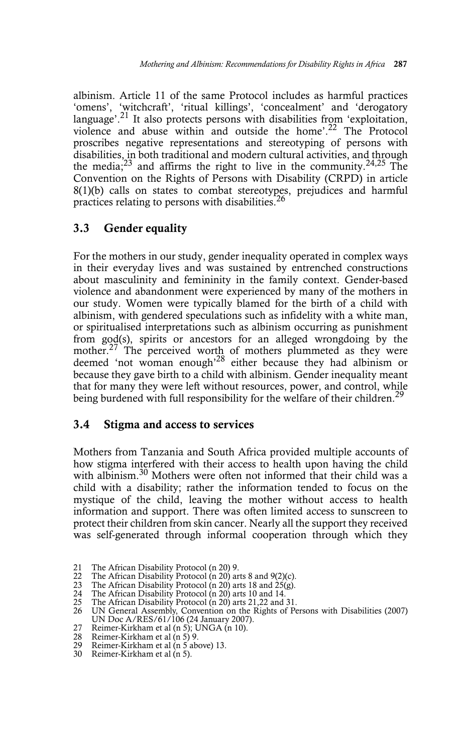albinism. Article 11 of the same Protocol includes as harmful practices 'omens', 'witchcraft', 'ritual killings', 'concealment' and 'derogatory language'.<sup>21</sup> It also protects persons with disabilities from 'exploitation, violence and abuse within and outside the home'.22 The Protocol proscribes negative representations and stereotyping of persons with disabilities, in both traditional and modern cultural activities, and through the media; $^{23}$  and affirms the right to live in the community. $^{24,25}$  The Convention on the Rights of Persons with Disability (CRPD) in article 8(1)(b) calls on states to combat stereotypes, prejudices and harmful practices relating to persons with disabilities.<sup>26</sup>

### **3.3 Gender equality**

For the mothers in our study, gender inequality operated in complex ways in their everyday lives and was sustained by entrenched constructions about masculinity and femininity in the family context. Gender-based violence and abandonment were experienced by many of the mothers in our study. Women were typically blamed for the birth of a child with albinism, with gendered speculations such as infidelity with a white man, or spiritualised interpretations such as albinism occurring as punishment from god(s), spirits or ancestors for an alleged wrongdoing by the mother.<sup>27</sup> The perceived worth of mothers plummeted as they were deemed 'not woman enough'28 either because they had albinism or because they gave birth to a child with albinism. Gender inequality meant that for many they were left without resources, power, and control, while being burdened with full responsibility for the welfare of their children.<sup>29</sup>

#### **3.4 Stigma and access to services**

Mothers from Tanzania and South Africa provided multiple accounts of how stigma interfered with their access to health upon having the child with albinism.<sup>30</sup> Mothers were often not informed that their child was a child with a disability; rather the information tended to focus on the mystique of the child, leaving the mother without access to health information and support. There was often limited access to sunscreen to protect their children from skin cancer. Nearly all the support they received was self-generated through informal cooperation through which they

<sup>21</sup> The African Disability Protocol (n 20) 9.<br>22 The African Disability Protocol (n 20) are 22 The African Disability Protocol (n 20) arts 8 and 9(2)(c).<br>23 The African Disability Protocol (n 20) arts 18 and 25(g).

<sup>23</sup> The African Disability Protocol (n 20) arts 18 and 25(g).

<sup>24</sup> The African Disability Protocol (n 20) arts 10 and 14. 25 The African Disability Protocol (n 20) arts 21,22 and 31.

<sup>26</sup> UN General Assembly, Convention on the Rights of Persons with Disabilities (2007) UN Doc A/RES/61/106 (24 January 2007).

<sup>27</sup> Reimer-Kirkham et al (n 5); UNGA (n 10).<br>28 Reimer-Kirkham et al (n 5) 9.

<sup>28</sup> Reimer-Kirkham et al (n 5) 9.<br>29 Reimer-Kirkham et al (n 5 ab

Reimer-Kirkham et al (n 5 above) 13.

<sup>30</sup> Reimer-Kirkham et al (n 5).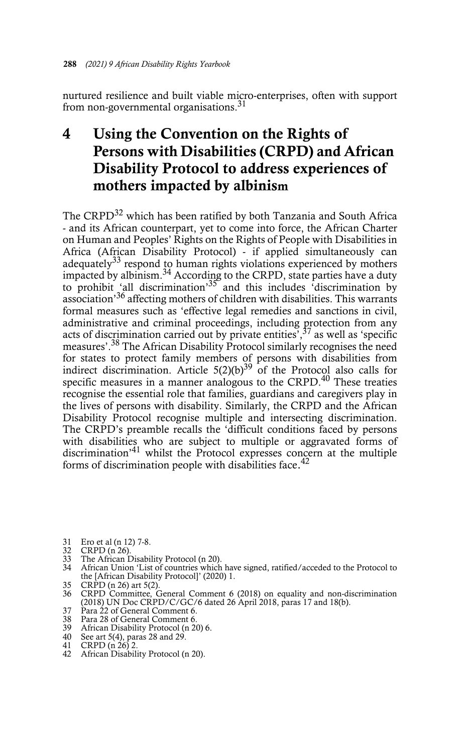nurtured resilience and built viable micro-enterprises, often with support from non-governmental organisations.<sup>31</sup>

## **4 Using the Convention on the Rights of Persons with Disabilities (CRPD) and African Disability Protocol to address experiences of mothers impacted by albinism**

The CRPD<sup>32</sup> which has been ratified by both Tanzania and South Africa - and its African counterpart, yet to come into force, the African Charter on Human and Peoples' Rights on the Rights of People with Disabilities in Africa (African Disability Protocol) - if applied simultaneously can adequately<sup>33</sup> respond to human rights violations experienced by mothers impacted by albinism.<sup>34</sup> According to the CRPD, state parties have a duty to prohibit 'all discrimination'<sup>35</sup> and this includes 'discrimination by association<sup>36</sup> affecting mothers of children with disabilities. This warrants formal measures such as 'effective legal remedies and sanctions in civil, administrative and criminal proceedings, including protection from any acts of discrimination carried out by private entities<sup>'</sup>,<sup>37</sup> as well as 'specific measures'.38 The African Disability Protocol similarly recognises the need for states to protect family members of persons with disabilities from indirect discrimination. Article  $5(2)(b)^{39}$  of the Protocol also calls for specific measures in a manner analogous to the CRPD.<sup>40</sup> These treaties recognise the essential role that families, guardians and caregivers play in the lives of persons with disability. Similarly, the CRPD and the African Disability Protocol recognise multiple and intersecting discrimination. The CRPD's preamble recalls the 'difficult conditions faced by persons with disabilities who are subject to multiple or aggravated forms of discrimination<sup>'41</sup> whilst the Protocol expresses concern at the multiple forms of discrimination people with disabilities face.<sup>42</sup>

- 
- 
- 31 Ero et al (n 12) 7-8. 32 CRPD (n 26). 33 The African Disability Protocol (n 20).
- 34 African Union 'List of countries which have signed, ratified/acceded to the Protocol to the [African Disability Protocol]' (2020) 1.
- 35 CRPD (n 26) art 5(2).
- 36 CRPD Committee, General Comment 6 (2018) on equality and non-discrimination (2018) UN Doc CRPD/C/GC/6 dated 26 April 2018, paras 17 and 18(b).
- 37 Para 22 of General Comment 6.
- 
- 38 Para 28 of General Comment 6. 39 African Disability Protocol (n 20) 6. 40 See art 5(4), paras 28 and 29.
- 
- 41 CRPD (n 26) 2.
- 42 African Disability Protocol (n 20).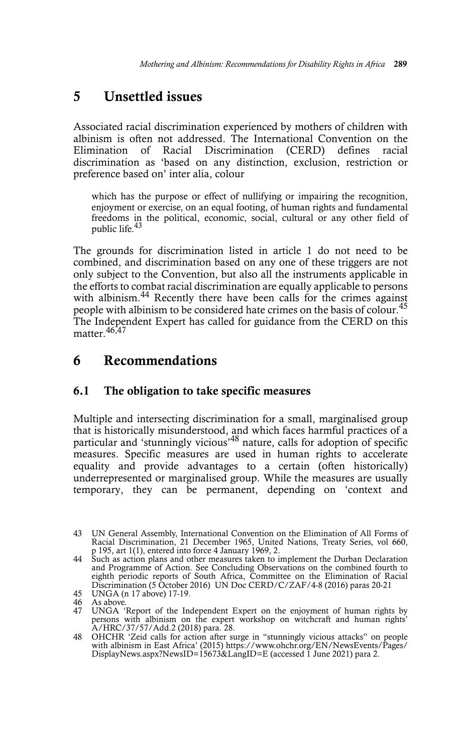## **5 Unsettled issues**

Associated racial discrimination experienced by mothers of children with albinism is often not addressed. The International Convention on the Elimination of Racial Discrimination (CERD) defines racial discrimination as 'based on any distinction, exclusion, restriction or preference based on' inter alia, colour

which has the purpose or effect of nullifying or impairing the recognition, enjoyment or exercise, on an equal footing, of human rights and fundamental freedoms in the political, economic, social, cultural or any other field of public life.43

The grounds for discrimination listed in article 1 do not need to be combined, and discrimination based on any one of these triggers are not only subject to the Convention, but also all the instruments applicable in the efforts to combat racial discrimination are equally applicable to persons with albinism.<sup>44</sup> Recently there have been calls for the crimes against people with albinism to be considered hate crimes on the basis of colour.<sup>45</sup> The Independent Expert has called for guidance from the CERD on this matter.<sup>46,47</sup>

## **6 Recommendations**

#### **6.1 The obligation to take specific measures**

Multiple and intersecting discrimination for a small, marginalised group that is historically misunderstood, and which faces harmful practices of a particular and 'stunningly vicious'48 nature, calls for adoption of specific measures. Specific measures are used in human rights to accelerate equality and provide advantages to a certain (often historically) underrepresented or marginalised group. While the measures are usually temporary, they can be permanent, depending on 'context and

<sup>43</sup> UN General Assembly, International Convention on the Elimination of All Forms of Racial Discrimination, 21 December 1965, United Nations, Treaty Series, vol 660, p 195, art 1(1), entered into force 4 January 1969, 2.

<sup>44</sup> Such as action plans and other measures taken to implement the Durban Declaration and Programme of Action. See Concluding Observations on the combined fourth to<br>eighth periodic reports of South Africa, Committee on the Elimination of Racial<br>Discrimination (5 October 2016) UN Doc CERD/C/ZAF/4-8 (2016) pa 45 UNGA (n 17 above) 17-19.

<sup>46</sup> As above. 47 UNGA 'Report of the Independent Expert on the enjoyment of human rights by persons with albinism on the expert workshop on witchcraft and human rights' A/HRC/37/57/Add.2 (2018) para. 28.

<sup>48</sup> OHCHR 'Zeid calls for action after surge in "stunningly vicious attacks" on people with albinism in East Africa' (2015) https://www.ohchr.org/EN/NewsEvents/Pages/ DisplayNews.aspx?NewsID=15673&LangID=E (accessed 1 June 2021) para 2.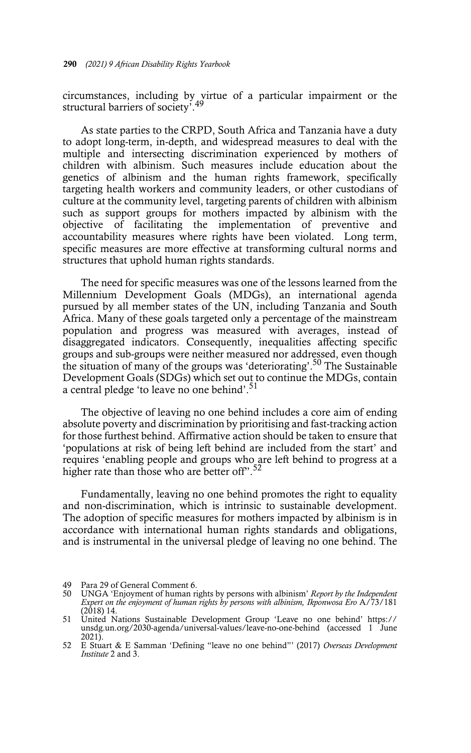circumstances, including by virtue of a particular impairment or the structural barriers of society<sup>7</sup>.49

As state parties to the CRPD, South Africa and Tanzania have a duty to adopt long-term, in-depth, and widespread measures to deal with the multiple and intersecting discrimination experienced by mothers of children with albinism. Such measures include education about the genetics of albinism and the human rights framework, specifically targeting health workers and community leaders, or other custodians of culture at the community level, targeting parents of children with albinism such as support groups for mothers impacted by albinism with the objective of facilitating the implementation of preventive and accountability measures where rights have been violated. Long term, specific measures are more effective at transforming cultural norms and structures that uphold human rights standards.

The need for specific measures was one of the lessons learned from the Millennium Development Goals (MDGs), an international agenda pursued by all member states of the UN, including Tanzania and South Africa. Many of these goals targeted only a percentage of the mainstream population and progress was measured with averages, instead of disaggregated indicators. Consequently, inequalities affecting specific groups and sub-groups were neither measured nor addressed, even though the situation of many of the groups was 'deteriorating'.50 The Sustainable Development Goals (SDGs) which set out to continue the MDGs, contain a central pledge 'to leave no one behind'.<sup>51</sup>

The objective of leaving no one behind includes a core aim of ending absolute poverty and discrimination by prioritising and fast-tracking action for those furthest behind. Affirmative action should be taken to ensure that 'populations at risk of being left behind are included from the start' and requires 'enabling people and groups who are left behind to progress at a higher rate than those who are better off".<sup>52</sup>

Fundamentally, leaving no one behind promotes the right to equality and non-discrimination, which is intrinsic to sustainable development. The adoption of specific measures for mothers impacted by albinism is in accordance with international human rights standards and obligations, and is instrumental in the universal pledge of leaving no one behind. The

<sup>49</sup> Para 29 of General Comment 6.

<sup>50</sup> UNGA 'Enjoyment of human rights by persons with albinism' *Report by the Independent Expert on the enjoyment of human rights by persons with albinism, Ikponwosa Ero* A/73/181 (2018) 14.

<sup>51</sup> United Nations Sustainable Development Group 'Leave no one behind' https:// unsdg.un.org/2030-agenda/universal-values/leave-no-one-behind (accessed 1 June 2021).

<sup>52</sup> E Stuart & E Samman 'Defining "leave no one behind"' (2017) *Overseas Development Institute* 2 and 3.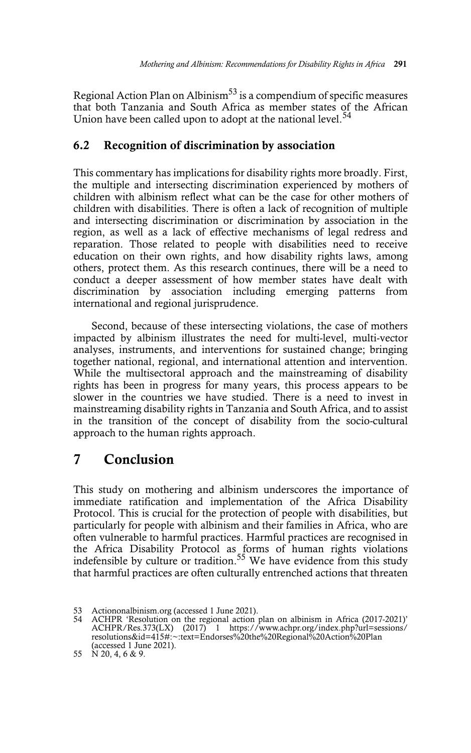Regional Action Plan on Albinism<sup>53</sup> is a compendium of specific measures that both Tanzania and South Africa as member states of the African Union have been called upon to adopt at the national level.<sup>54</sup>

#### **6.2 Recognition of discrimination by association**

This commentary has implications for disability rights more broadly. First, the multiple and intersecting discrimination experienced by mothers of children with albinism reflect what can be the case for other mothers of children with disabilities. There is often a lack of recognition of multiple and intersecting discrimination or discrimination by association in the region, as well as a lack of effective mechanisms of legal redress and reparation. Those related to people with disabilities need to receive education on their own rights, and how disability rights laws, among others, protect them. As this research continues, there will be a need to conduct a deeper assessment of how member states have dealt with discrimination by association including emerging patterns from international and regional jurisprudence.

Second, because of these intersecting violations, the case of mothers impacted by albinism illustrates the need for multi-level, multi-vector analyses, instruments, and interventions for sustained change; bringing together national, regional, and international attention and intervention. While the multisectoral approach and the mainstreaming of disability rights has been in progress for many years, this process appears to be slower in the countries we have studied. There is a need to invest in mainstreaming disability rights in Tanzania and South Africa, and to assist in the transition of the concept of disability from the socio-cultural approach to the human rights approach.

## **7 Conclusion**

This study on mothering and albinism underscores the importance of immediate ratification and implementation of the Africa Disability Protocol. This is crucial for the protection of people with disabilities, but particularly for people with albinism and their families in Africa, who are often vulnerable to harmful practices. Harmful practices are recognised in the Africa Disability Protocol as forms of human rights violations indefensible by culture or tradition.<sup>55</sup> We have evidence from this study that harmful practices are often culturally entrenched actions that threaten

<sup>53</sup> Actiononalbinism.org (accessed 1 June 2021).<br>54 ACHPR 'Resolution on the regional action.

ACHPR 'Resolution on the regional action plan on albinism in Africa (2017-2021)' ACHPR/Res.373(LX) (2017) 1 https://www.achpr.org/index.php?url=sessions/ resolutions&id=415#:~:text=Endorses%20the%20Regional%20Action%20Plan (accessed 1 June 2021).

<sup>55</sup> N 20, 4, 6 & 9.